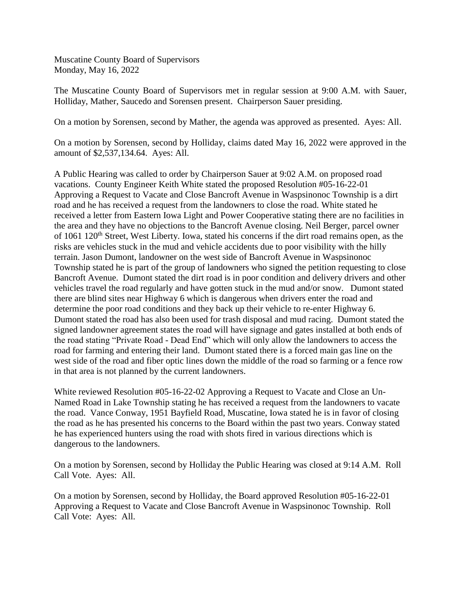The Muscatine County Board of Supervisors met in regular session at 9:00 A.M. with Sauer, Holliday, Mather, Saucedo and Sorensen present. Chairperson Sauer presiding.

On a motion by Sorensen, second by Mather, the agenda was approved as presented. Ayes: All.

On a motion by Sorensen, second by Holliday, claims dated May 16, 2022 were approved in the amount of \$2,537,134.64. Ayes: All.

A Public Hearing was called to order by Chairperson Sauer at 9:02 A.M. on proposed road vacations. County Engineer Keith White stated the proposed Resolution #05-16-22-01 Approving a Request to Vacate and Close Bancroft Avenue in Waspsinonoc Township is a dirt road and he has received a request from the landowners to close the road. White stated he received a letter from Eastern Iowa Light and Power Cooperative stating there are no facilities in the area and they have no objections to the Bancroft Avenue closing. Neil Berger, parcel owner of 1061 120<sup>th</sup> Street, West Liberty. Iowa, stated his concerns if the dirt road remains open, as the risks are vehicles stuck in the mud and vehicle accidents due to poor visibility with the hilly terrain. Jason Dumont, landowner on the west side of Bancroft Avenue in Waspsinonoc Township stated he is part of the group of landowners who signed the petition requesting to close Bancroft Avenue. Dumont stated the dirt road is in poor condition and delivery drivers and other vehicles travel the road regularly and have gotten stuck in the mud and/or snow. Dumont stated there are blind sites near Highway 6 which is dangerous when drivers enter the road and determine the poor road conditions and they back up their vehicle to re-enter Highway 6. Dumont stated the road has also been used for trash disposal and mud racing. Dumont stated the signed landowner agreement states the road will have signage and gates installed at both ends of the road stating "Private Road - Dead End" which will only allow the landowners to access the road for farming and entering their land. Dumont stated there is a forced main gas line on the west side of the road and fiber optic lines down the middle of the road so farming or a fence row in that area is not planned by the current landowners.

White reviewed Resolution #05-16-22-02 Approving a Request to Vacate and Close an Un-Named Road in Lake Township stating he has received a request from the landowners to vacate the road. Vance Conway, 1951 Bayfield Road, Muscatine, Iowa stated he is in favor of closing the road as he has presented his concerns to the Board within the past two years. Conway stated he has experienced hunters using the road with shots fired in various directions which is dangerous to the landowners.

On a motion by Sorensen, second by Holliday the Public Hearing was closed at 9:14 A.M. Roll Call Vote. Ayes: All.

On a motion by Sorensen, second by Holliday, the Board approved Resolution #05-16-22-01 Approving a Request to Vacate and Close Bancroft Avenue in Waspsinonoc Township. Roll Call Vote: Ayes: All.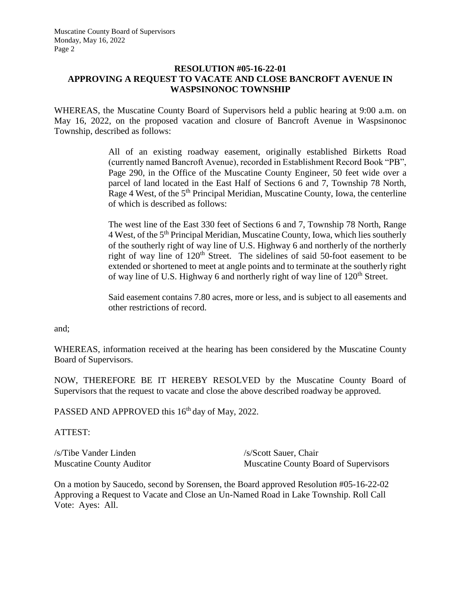## **RESOLUTION #05-16-22-01 APPROVING A REQUEST TO VACATE AND CLOSE BANCROFT AVENUE IN WASPSINONOC TOWNSHIP**

WHEREAS, the Muscatine County Board of Supervisors held a public hearing at 9:00 a.m. on May 16, 2022, on the proposed vacation and closure of Bancroft Avenue in Waspsinonoc Township, described as follows:

> All of an existing roadway easement, originally established Birketts Road (currently named Bancroft Avenue), recorded in Establishment Record Book "PB", Page 290, in the Office of the Muscatine County Engineer, 50 feet wide over a parcel of land located in the East Half of Sections 6 and 7, Township 78 North, Rage 4 West, of the 5<sup>th</sup> Principal Meridian, Muscatine County, Iowa, the centerline of which is described as follows:

> The west line of the East 330 feet of Sections 6 and 7, Township 78 North, Range 4 West, of the 5th Principal Meridian, Muscatine County, Iowa, which lies southerly of the southerly right of way line of U.S. Highway 6 and northerly of the northerly right of way line of  $120<sup>th</sup>$  Street. The sidelines of said 50-foot easement to be extended or shortened to meet at angle points and to terminate at the southerly right of way line of U.S. Highway 6 and northerly right of way line of  $120<sup>th</sup>$  Street.

> Said easement contains 7.80 acres, more or less, and is subject to all easements and other restrictions of record.

and;

WHEREAS, information received at the hearing has been considered by the Muscatine County Board of Supervisors.

NOW, THEREFORE BE IT HEREBY RESOLVED by the Muscatine County Board of Supervisors that the request to vacate and close the above described roadway be approved.

PASSED AND APPROVED this 16<sup>th</sup> day of May, 2022.

ATTEST:

/s/Tibe Vander Linden /s/Scott Sauer, Chair

Muscatine County Auditor Muscatine County Board of Supervisors

On a motion by Saucedo, second by Sorensen, the Board approved Resolution #05-16-22-02 Approving a Request to Vacate and Close an Un-Named Road in Lake Township. Roll Call Vote: Ayes: All.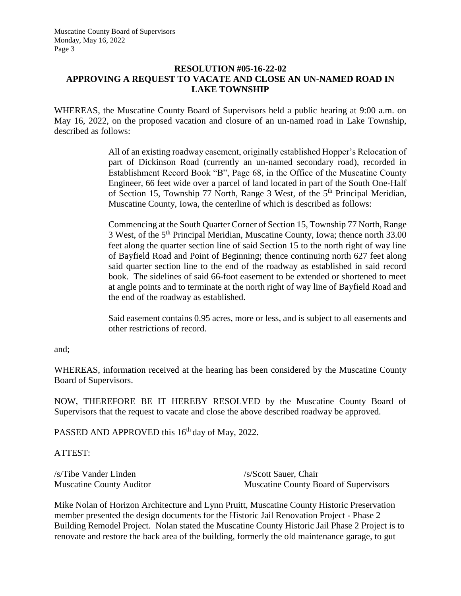# **RESOLUTION #05-16-22-02 APPROVING A REQUEST TO VACATE AND CLOSE AN UN-NAMED ROAD IN LAKE TOWNSHIP**

WHEREAS, the Muscatine County Board of Supervisors held a public hearing at 9:00 a.m. on May 16, 2022, on the proposed vacation and closure of an un-named road in Lake Township, described as follows:

> All of an existing roadway easement, originally established Hopper's Relocation of part of Dickinson Road (currently an un-named secondary road), recorded in Establishment Record Book "B", Page 68, in the Office of the Muscatine County Engineer, 66 feet wide over a parcel of land located in part of the South One-Half of Section 15, Township 77 North, Range 3 West, of the  $5<sup>th</sup>$  Principal Meridian, Muscatine County, Iowa, the centerline of which is described as follows:

> Commencing at the South Quarter Corner of Section 15, Township 77 North, Range 3 West, of the 5th Principal Meridian, Muscatine County, Iowa; thence north 33.00 feet along the quarter section line of said Section 15 to the north right of way line of Bayfield Road and Point of Beginning; thence continuing north 627 feet along said quarter section line to the end of the roadway as established in said record book. The sidelines of said 66-foot easement to be extended or shortened to meet at angle points and to terminate at the north right of way line of Bayfield Road and the end of the roadway as established.

> Said easement contains 0.95 acres, more or less, and is subject to all easements and other restrictions of record.

and;

WHEREAS, information received at the hearing has been considered by the Muscatine County Board of Supervisors.

NOW, THEREFORE BE IT HEREBY RESOLVED by the Muscatine County Board of Supervisors that the request to vacate and close the above described roadway be approved.

PASSED AND APPROVED this 16<sup>th</sup> day of May, 2022.

ATTEST:

/s/Tibe Vander Linden /s/Scott Sauer, Chair

Muscatine County Auditor Muscatine County Board of Supervisors

Mike Nolan of Horizon Architecture and Lynn Pruitt, Muscatine County Historic Preservation member presented the design documents for the Historic Jail Renovation Project - Phase 2 Building Remodel Project. Nolan stated the Muscatine County Historic Jail Phase 2 Project is to renovate and restore the back area of the building, formerly the old maintenance garage, to gut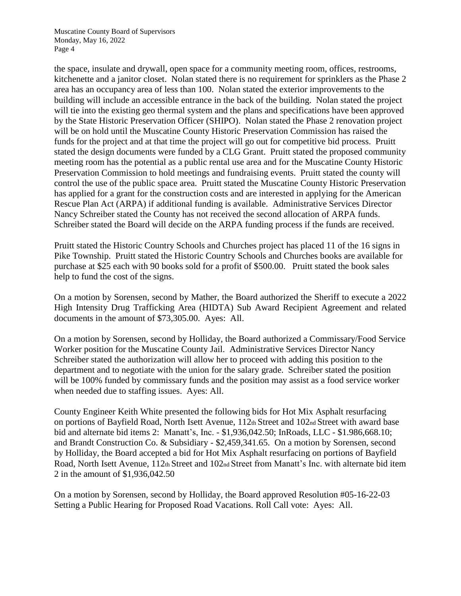the space, insulate and drywall, open space for a community meeting room, offices, restrooms, kitchenette and a janitor closet. Nolan stated there is no requirement for sprinklers as the Phase 2 area has an occupancy area of less than 100. Nolan stated the exterior improvements to the building will include an accessible entrance in the back of the building. Nolan stated the project will tie into the existing geo thermal system and the plans and specifications have been approved by the State Historic Preservation Officer (SHIPO). Nolan stated the Phase 2 renovation project will be on hold until the Muscatine County Historic Preservation Commission has raised the funds for the project and at that time the project will go out for competitive bid process. Pruitt stated the design documents were funded by a CLG Grant. Pruitt stated the proposed community meeting room has the potential as a public rental use area and for the Muscatine County Historic Preservation Commission to hold meetings and fundraising events. Pruitt stated the county will control the use of the public space area. Pruitt stated the Muscatine County Historic Preservation has applied for a grant for the construction costs and are interested in applying for the American Rescue Plan Act (ARPA) if additional funding is available. Administrative Services Director Nancy Schreiber stated the County has not received the second allocation of ARPA funds. Schreiber stated the Board will decide on the ARPA funding process if the funds are received.

Pruitt stated the Historic Country Schools and Churches project has placed 11 of the 16 signs in Pike Township. Pruitt stated the Historic Country Schools and Churches books are available for purchase at \$25 each with 90 books sold for a profit of \$500.00. Pruitt stated the book sales help to fund the cost of the signs.

On a motion by Sorensen, second by Mather, the Board authorized the Sheriff to execute a 2022 High Intensity Drug Trafficking Area (HIDTA) Sub Award Recipient Agreement and related documents in the amount of \$73,305.00. Ayes: All.

On a motion by Sorensen, second by Holliday, the Board authorized a Commissary/Food Service Worker position for the Muscatine County Jail. Administrative Services Director Nancy Schreiber stated the authorization will allow her to proceed with adding this position to the department and to negotiate with the union for the salary grade. Schreiber stated the position will be 100% funded by commissary funds and the position may assist as a food service worker when needed due to staffing issues. Ayes: All.

County Engineer Keith White presented the following bids for Hot Mix Asphalt resurfacing on portions of Bayfield Road, North Isett Avenue, 112th Street and 102nd Street with award base bid and alternate bid items 2: Manatt's, Inc. - \$1,936,042.50; InRoads, LLC - \$1.986,668.10; and Brandt Construction Co. & Subsidiary - \$2,459,341.65. On a motion by Sorensen, second by Holliday, the Board accepted a bid for Hot Mix Asphalt resurfacing on portions of Bayfield Road, North Isett Avenue, 112th Street and 102nd Street from Manatt's Inc. with alternate bid item 2 in the amount of \$1,936,042.50

On a motion by Sorensen, second by Holliday, the Board approved Resolution #05-16-22-03 Setting a Public Hearing for Proposed Road Vacations. Roll Call vote: Ayes: All.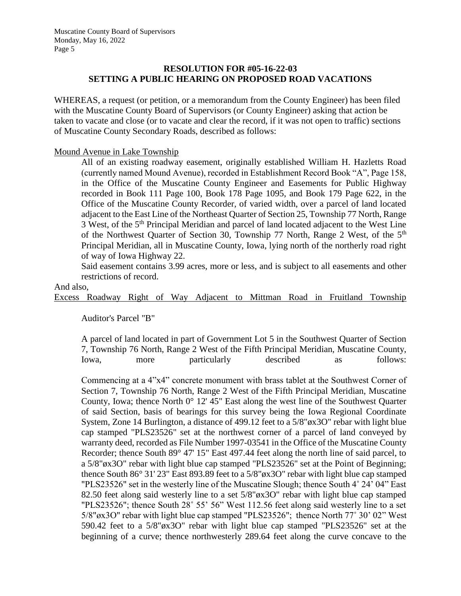# **RESOLUTION FOR #05-16-22-03 SETTING A PUBLIC HEARING ON PROPOSED ROAD VACATIONS**

WHEREAS, a request (or petition, or a memorandum from the County Engineer) has been filed with the Muscatine County Board of Supervisors (or County Engineer) asking that action be taken to vacate and close (or to vacate and clear the record, if it was not open to traffic) sections of Muscatine County Secondary Roads, described as follows:

Mound Avenue in Lake Township

All of an existing roadway easement, originally established William H. Hazletts Road (currently named Mound Avenue), recorded in Establishment Record Book "A", Page 158, in the Office of the Muscatine County Engineer and Easements for Public Highway recorded in Book 111 Page 100, Book 178 Page 1095, and Book 179 Page 622, in the Office of the Muscatine County Recorder, of varied width, over a parcel of land located adjacent to the East Line of the Northeast Quarter of Section 25, Township 77 North, Range 3 West, of the 5<sup>th</sup> Principal Meridian and parcel of land located adjacent to the West Line of the Northwest Quarter of Section 30, Township 77 North, Range 2 West, of the 5<sup>th</sup> Principal Meridian, all in Muscatine County, Iowa, lying north of the northerly road right of way of Iowa Highway 22.

Said easement contains 3.99 acres, more or less, and is subject to all easements and other restrictions of record.

And also,

Excess Roadway Right of Way Adjacent to Mittman Road in Fruitland Township

Auditor's Parcel "B"

A parcel of land located in part of Government Lot 5 in the Southwest Quarter of Section 7, Township 76 North, Range 2 West of the Fifth Principal Meridian, Muscatine County, Iowa, more particularly described as follows:

Commencing at a 4"x4" concrete monument with brass tablet at the Southwest Corner of Section 7, Township 76 North, Range 2 West of the Fifth Principal Meridian, Muscatine County, Iowa; thence North 0° 12' 45" East along the west line of the Southwest Quarter of said Section, basis of bearings for this survey being the Iowa Regional Coordinate System, Zone 14 Burlington, a distance of 499.12 feet to a 5/8"øx3O" rebar with light blue cap stamped "PLS23526" set at the northwest corner of a parcel of land conveyed by warranty deed, recorded as File Number 1997-03541 in the Office of the Muscatine County Recorder; thence South 89° 47' 15" East 497.44 feet along the north line of said parcel, to a 5/8"øx3O" rebar with light blue cap stamped "PLS23526" set at the Point of Beginning; thence South 86° 31' 23" East 893.89 feet to a 5/8"øx3O" rebar with light blue cap stamped "PLS23526" set in the westerly line of the Muscatine Slough; thence South 4˚ 24' 04" East 82.50 feet along said westerly line to a set 5/8"øx3O" rebar with light blue cap stamped "PLS23526"; thence South 28˚ 55' 56" West 112.56 feet along said westerly line to a set 5/8"øx3O" rebar with light blue cap stamped "PLS23526"; thence North 77˚ 30' 02" West 590.42 feet to a 5/8"øx3O" rebar with light blue cap stamped "PLS23526" set at the beginning of a curve; thence northwesterly 289.64 feet along the curve concave to the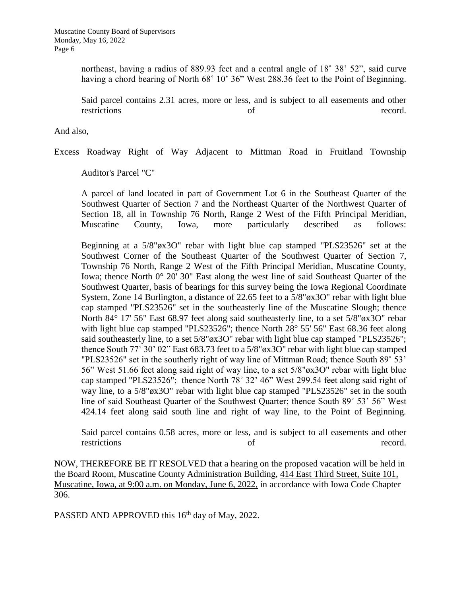northeast, having a radius of 889.93 feet and a central angle of 18˚ 38' 52", said curve having a chord bearing of North 68° 10' 36" West 288.36 feet to the Point of Beginning.

Said parcel contains 2.31 acres, more or less, and is subject to all easements and other restrictions of record.

And also,

### Excess Roadway Right of Way Adjacent to Mittman Road in Fruitland Township

Auditor's Parcel "C"

A parcel of land located in part of Government Lot 6 in the Southeast Quarter of the Southwest Quarter of Section 7 and the Northeast Quarter of the Northwest Quarter of Section 18, all in Township 76 North, Range 2 West of the Fifth Principal Meridian, Muscatine County, Iowa, more particularly described as follows:

Beginning at a 5/8"øx3O" rebar with light blue cap stamped "PLS23526" set at the Southwest Corner of the Southeast Quarter of the Southwest Quarter of Section 7, Township 76 North, Range 2 West of the Fifth Principal Meridian, Muscatine County, Iowa; thence North 0° 20' 30" East along the west line of said Southeast Quarter of the Southwest Quarter, basis of bearings for this survey being the Iowa Regional Coordinate System, Zone 14 Burlington, a distance of 22.65 feet to a 5/8"øx3O" rebar with light blue cap stamped "PLS23526" set in the southeasterly line of the Muscatine Slough; thence North 84° 17' 56" East 68.97 feet along said southeasterly line, to a set 5/8"øx3O" rebar with light blue cap stamped "PLS23526"; thence North 28° 55' 56" East 68.36 feet along said southeasterly line, to a set 5/8"øx3O" rebar with light blue cap stamped "PLS23526"; thence South 77˚ 30' 02" East 683.73 feet to a 5/8"øx3O" rebar with light blue cap stamped "PLS23526" set in the southerly right of way line of Mittman Road; thence South 89˚ 53' 56" West 51.66 feet along said right of way line, to a set 5/8"øx3O" rebar with light blue cap stamped "PLS23526"; thence North 78˚ 32' 46" West 299.54 feet along said right of way line, to a 5/8"øx3O" rebar with light blue cap stamped "PLS23526" set in the south line of said Southeast Quarter of the Southwest Quarter; thence South 89˚ 53' 56" West 424.14 feet along said south line and right of way line, to the Point of Beginning.

Said parcel contains 0.58 acres, more or less, and is subject to all easements and other restrictions of record.

NOW, THEREFORE BE IT RESOLVED that a hearing on the proposed vacation will be held in the Board Room, Muscatine County Administration Building, 414 East Third Street, Suite 101, Muscatine, Iowa, at 9:00 a.m. on Monday, June 6, 2022, in accordance with Iowa Code Chapter 306.

PASSED AND APPROVED this 16<sup>th</sup> day of May, 2022.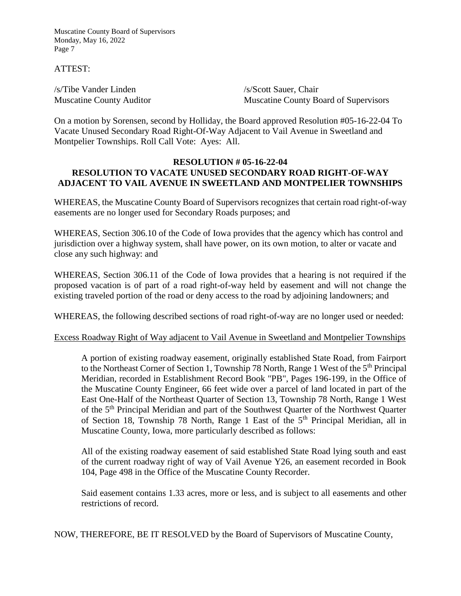ATTEST:

/s/Tibe Vander Linden /s/Scott Sauer, Chair

Muscatine County Auditor Muscatine County Board of Supervisors

On a motion by Sorensen, second by Holliday, the Board approved Resolution #05-16-22-04 To Vacate Unused Secondary Road Right-Of-Way Adjacent to Vail Avenue in Sweetland and Montpelier Townships. Roll Call Vote: Ayes: All.

### **RESOLUTION # 05-16-22-04 RESOLUTION TO VACATE UNUSED SECONDARY ROAD RIGHT-OF-WAY ADJACENT TO VAIL AVENUE IN SWEETLAND AND MONTPELIER TOWNSHIPS**

WHEREAS, the Muscatine County Board of Supervisors recognizes that certain road right-of-way easements are no longer used for Secondary Roads purposes; and

WHEREAS, Section 306.10 of the Code of Iowa provides that the agency which has control and jurisdiction over a highway system, shall have power, on its own motion, to alter or vacate and close any such highway: and

WHEREAS, Section 306.11 of the Code of Iowa provides that a hearing is not required if the proposed vacation is of part of a road right-of-way held by easement and will not change the existing traveled portion of the road or deny access to the road by adjoining landowners; and

WHEREAS, the following described sections of road right-of-way are no longer used or needed:

### Excess Roadway Right of Way adjacent to Vail Avenue in Sweetland and Montpelier Townships

A portion of existing roadway easement, originally established State Road, from Fairport to the Northeast Corner of Section 1, Township 78 North, Range 1 West of the 5<sup>th</sup> Principal Meridian, recorded in Establishment Record Book "PB", Pages 196-199, in the Office of the Muscatine County Engineer, 66 feet wide over a parcel of land located in part of the East One-Half of the Northeast Quarter of Section 13, Township 78 North, Range 1 West of the 5<sup>th</sup> Principal Meridian and part of the Southwest Quarter of the Northwest Quarter of Section 18, Township 78 North, Range 1 East of the  $5<sup>th</sup>$  Principal Meridian, all in Muscatine County, Iowa, more particularly described as follows:

All of the existing roadway easement of said established State Road lying south and east of the current roadway right of way of Vail Avenue Y26, an easement recorded in Book 104, Page 498 in the Office of the Muscatine County Recorder.

Said easement contains 1.33 acres, more or less, and is subject to all easements and other restrictions of record.

NOW, THEREFORE, BE IT RESOLVED by the Board of Supervisors of Muscatine County,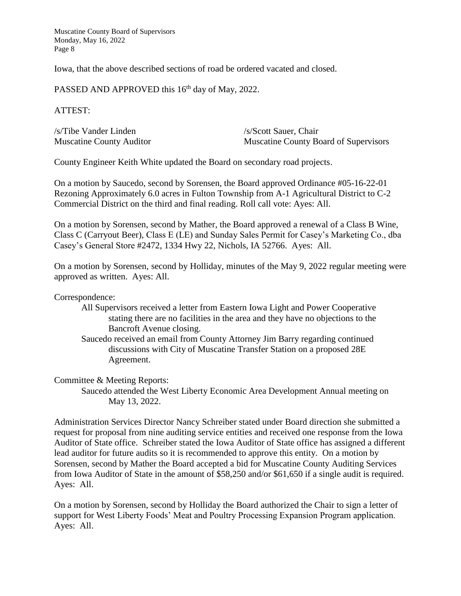Iowa, that the above described sections of road be ordered vacated and closed.

PASSED AND APPROVED this 16<sup>th</sup> day of May, 2022.

### ATTEST:

| /s/Tibe Vander Linden           | /s/Scott Sauer, Chair                        |
|---------------------------------|----------------------------------------------|
| <b>Muscatine County Auditor</b> | <b>Muscatine County Board of Supervisors</b> |

County Engineer Keith White updated the Board on secondary road projects.

On a motion by Saucedo, second by Sorensen, the Board approved Ordinance #05-16-22-01 Rezoning Approximately 6.0 acres in Fulton Township from A-1 Agricultural District to C-2 Commercial District on the third and final reading. Roll call vote: Ayes: All.

On a motion by Sorensen, second by Mather, the Board approved a renewal of a Class B Wine, Class C (Carryout Beer), Class E (LE) and Sunday Sales Permit for Casey's Marketing Co., dba Casey's General Store #2472, 1334 Hwy 22, Nichols, IA 52766. Ayes: All.

On a motion by Sorensen, second by Holliday, minutes of the May 9, 2022 regular meeting were approved as written. Ayes: All.

#### Correspondence:

- All Supervisors received a letter from Eastern Iowa Light and Power Cooperative stating there are no facilities in the area and they have no objections to the Bancroft Avenue closing.
- Saucedo received an email from County Attorney Jim Barry regarding continued discussions with City of Muscatine Transfer Station on a proposed 28E Agreement.

#### Committee & Meeting Reports:

Saucedo attended the West Liberty Economic Area Development Annual meeting on May 13, 2022.

Administration Services Director Nancy Schreiber stated under Board direction she submitted a request for proposal from nine auditing service entities and received one response from the Iowa Auditor of State office. Schreiber stated the Iowa Auditor of State office has assigned a different lead auditor for future audits so it is recommended to approve this entity. On a motion by Sorensen, second by Mather the Board accepted a bid for Muscatine County Auditing Services from Iowa Auditor of State in the amount of \$58,250 and/or \$61,650 if a single audit is required. Ayes: All.

On a motion by Sorensen, second by Holliday the Board authorized the Chair to sign a letter of support for West Liberty Foods' Meat and Poultry Processing Expansion Program application. Ayes: All.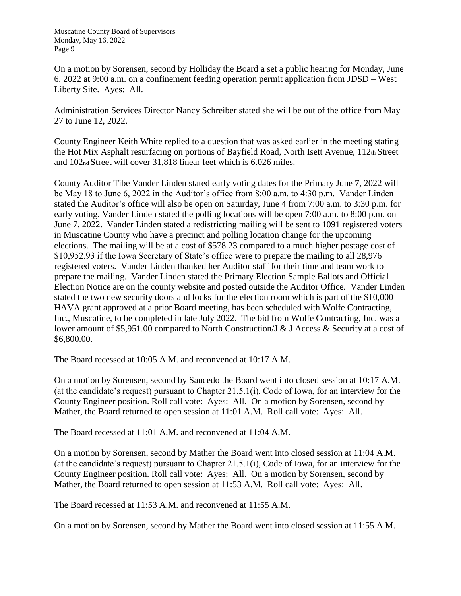On a motion by Sorensen, second by Holliday the Board a set a public hearing for Monday, June 6, 2022 at 9:00 a.m. on a confinement feeding operation permit application from JDSD – West Liberty Site. Ayes: All.

Administration Services Director Nancy Schreiber stated she will be out of the office from May 27 to June 12, 2022.

County Engineer Keith White replied to a question that was asked earlier in the meeting stating the Hot Mix Asphalt resurfacing on portions of Bayfield Road, North Isett Avenue, 112th Street and 102nd Street will cover 31,818 linear feet which is 6.026 miles.

County Auditor Tibe Vander Linden stated early voting dates for the Primary June 7, 2022 will be May 18 to June 6, 2022 in the Auditor's office from 8:00 a.m. to 4:30 p.m. Vander Linden stated the Auditor's office will also be open on Saturday, June 4 from 7:00 a.m. to 3:30 p.m. for early voting. Vander Linden stated the polling locations will be open 7:00 a.m. to 8:00 p.m. on June 7, 2022. Vander Linden stated a redistricting mailing will be sent to 1091 registered voters in Muscatine County who have a precinct and polling location change for the upcoming elections. The mailing will be at a cost of \$578.23 compared to a much higher postage cost of \$10,952.93 if the Iowa Secretary of State's office were to prepare the mailing to all 28,976 registered voters. Vander Linden thanked her Auditor staff for their time and team work to prepare the mailing. Vander Linden stated the Primary Election Sample Ballots and Official Election Notice are on the county website and posted outside the Auditor Office. Vander Linden stated the two new security doors and locks for the election room which is part of the \$10,000 HAVA grant approved at a prior Board meeting, has been scheduled with Wolfe Contracting, Inc., Muscatine, to be completed in late July 2022. The bid from Wolfe Contracting, Inc. was a lower amount of \$5,951.00 compared to North Construction/J & J Access & Security at a cost of \$6,800.00.

The Board recessed at 10:05 A.M. and reconvened at 10:17 A.M.

On a motion by Sorensen, second by Saucedo the Board went into closed session at 10:17 A.M. (at the candidate's request) pursuant to Chapter 21.5.1(i), Code of Iowa, for an interview for the County Engineer position. Roll call vote: Ayes: All. On a motion by Sorensen, second by Mather, the Board returned to open session at 11:01 A.M. Roll call vote: Ayes: All.

The Board recessed at 11:01 A.M. and reconvened at 11:04 A.M.

On a motion by Sorensen, second by Mather the Board went into closed session at 11:04 A.M. (at the candidate's request) pursuant to Chapter 21.5.1(i), Code of Iowa, for an interview for the County Engineer position. Roll call vote: Ayes: All. On a motion by Sorensen, second by Mather, the Board returned to open session at 11:53 A.M. Roll call vote: Ayes: All.

The Board recessed at 11:53 A.M. and reconvened at 11:55 A.M.

On a motion by Sorensen, second by Mather the Board went into closed session at 11:55 A.M.